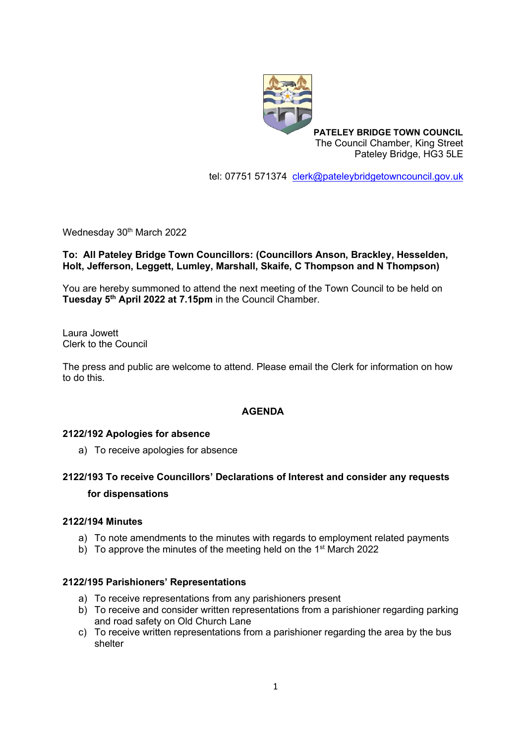

**PATELEY BRIDGE TOWN COUNCIL** The Council Chamber, King Street Pateley Bridge, HG3 5LE

tel: 07751 571374 [clerk@pateleybridgetowncouncil.gov.uk](mailto:clerk@pateleybridgetowncouncil.gov.uk)

Wednesday 30<sup>th</sup> March 2022

### **To: All Pateley Bridge Town Councillors: (Councillors Anson, Brackley, Hesselden, Holt, Jefferson, Leggett, Lumley, Marshall, Skaife, C Thompson and N Thompson)**

You are hereby summoned to attend the next meeting of the Town Council to be held on **Tuesday 5 th April 2022 at 7.15pm** in the Council Chamber.

Laura Jowett Clerk to the Council

The press and public are welcome to attend. Please email the Clerk for information on how to do this.

#### **AGENDA**

#### **2122/192 Apologies for absence**

a) To receive apologies for absence

# **2122/193 To receive Councillors' Declarations of Interest and consider any requests for dispensations**

#### **2122/194 Minutes**

- a) To note amendments to the minutes with regards to employment related payments
- b) To approve the minutes of the meeting held on the 1<sup>st</sup> March 2022

#### **2122/195 Parishioners' Representations**

- a) To receive representations from any parishioners present
- b) To receive and consider written representations from a parishioner regarding parking and road safety on Old Church Lane
- c) To receive written representations from a parishioner regarding the area by the bus shelter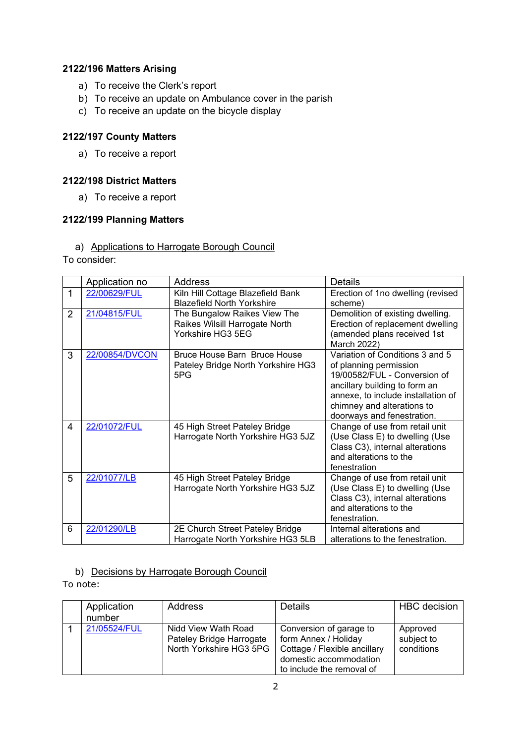## **2122/196 Matters Arising**

- a) To receive the Clerk's report
- b) To receive an update on Ambulance cover in the parish
- c) To receive an update on the bicycle display

### **2122/197 County Matters**

a) To receive a report

### **2122/198 District Matters**

a) To receive a report

### **2122/199 Planning Matters**

### a) Applications to Harrogate Borough Council

To consider:

|                | Application no | Address                            | <b>Details</b>                     |
|----------------|----------------|------------------------------------|------------------------------------|
| 1              | 22/00629/FUL   | Kiln Hill Cottage Blazefield Bank  | Erection of 1no dwelling (revised  |
|                |                | <b>Blazefield North Yorkshire</b>  | scheme)                            |
| $\overline{2}$ | 21/04815/FUL   | The Bungalow Raikes View The       | Demolition of existing dwelling.   |
|                |                | Raikes Wilsill Harrogate North     | Erection of replacement dwelling   |
|                |                | Yorkshire HG3 5EG                  | (amended plans received 1st        |
|                |                |                                    | March 2022)                        |
| 3              | 22/00854/DVCON | Bruce House Barn Bruce House       | Variation of Conditions 3 and 5    |
|                |                | Pateley Bridge North Yorkshire HG3 | of planning permission             |
|                |                | 5PG                                | 19/00582/FUL - Conversion of       |
|                |                |                                    | ancillary building to form an      |
|                |                |                                    | annexe, to include installation of |
|                |                |                                    | chimney and alterations to         |
|                |                |                                    | doorways and fenestration.         |
| 4              | 22/01072/FUL   | 45 High Street Pateley Bridge      | Change of use from retail unit     |
|                |                | Harrogate North Yorkshire HG3 5JZ  | (Use Class E) to dwelling (Use     |
|                |                |                                    | Class C3), internal alterations    |
|                |                |                                    | and alterations to the             |
|                |                |                                    | fenestration                       |
| 5              | 22/01077/LB    | 45 High Street Pateley Bridge      | Change of use from retail unit     |
|                |                | Harrogate North Yorkshire HG3 5JZ  | (Use Class E) to dwelling (Use     |
|                |                |                                    | Class C3), internal alterations    |
|                |                |                                    | and alterations to the             |
|                |                |                                    | fenestration.                      |
| 6              | 22/01290/LB    | 2E Church Street Pateley Bridge    | Internal alterations and           |
|                |                | Harrogate North Yorkshire HG3 5LB  | alterations to the fenestration.   |

#### b) Decisions by Harrogate Borough Council

To note:

| Application<br>number | Address                                                                    | <b>Details</b>                                                                                                                         | <b>HBC</b> decision                  |
|-----------------------|----------------------------------------------------------------------------|----------------------------------------------------------------------------------------------------------------------------------------|--------------------------------------|
| 21/05524/FUL          | Nidd View Wath Road<br>Pateley Bridge Harrogate<br>North Yorkshire HG3 5PG | Conversion of garage to<br>form Annex / Holiday<br>Cottage / Flexible ancillary<br>domestic accommodation<br>to include the removal of | Approved<br>subject to<br>conditions |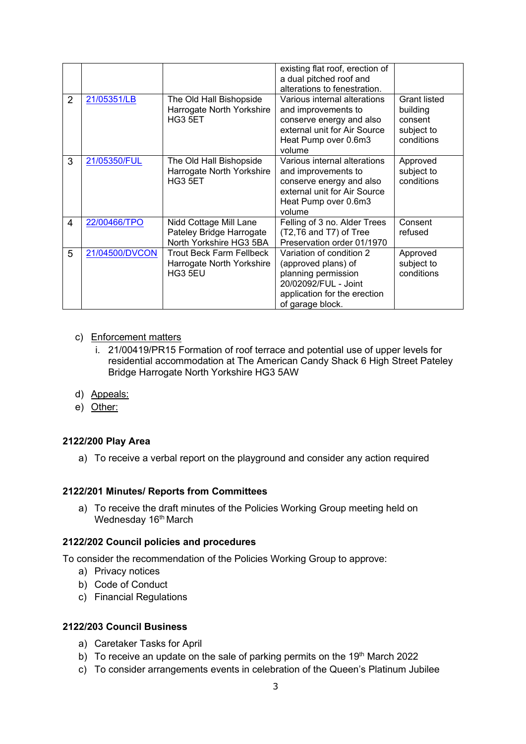| $\overline{2}$ | 21/05351/LB    | The Old Hall Bishopside                                                       | existing flat roof, erection of<br>a dual pitched roof and<br>alterations to fenestration.<br>Various internal alterations                         | <b>Grant listed</b>                             |
|----------------|----------------|-------------------------------------------------------------------------------|----------------------------------------------------------------------------------------------------------------------------------------------------|-------------------------------------------------|
|                |                | Harrogate North Yorkshire<br>HG3 5ET                                          | and improvements to<br>conserve energy and also<br>external unit for Air Source<br>Heat Pump over 0.6m3<br>volume                                  | building<br>consent<br>subject to<br>conditions |
| 3              | 21/05350/FUL   | The Old Hall Bishopside<br>Harrogate North Yorkshire<br>HG3 5ET               | Various internal alterations<br>and improvements to<br>conserve energy and also<br>external unit for Air Source<br>Heat Pump over 0.6m3<br>volume  | Approved<br>subject to<br>conditions            |
| 4              | 22/00466/TPO   | Nidd Cottage Mill Lane<br>Pateley Bridge Harrogate<br>North Yorkshire HG3 5BA | Felling of 3 no. Alder Trees<br>(T2, T6 and T7) of Tree<br>Preservation order 01/1970                                                              | Consent<br>refused                              |
| 5              | 21/04500/DVCON | <b>Trout Beck Farm Fellbeck</b><br>Harrogate North Yorkshire<br>HG3 5EU       | Variation of condition 2<br>(approved plans) of<br>planning permission<br>20/02092/FUL - Joint<br>application for the erection<br>of garage block. | Approved<br>subject to<br>conditions            |

#### c) Enforcement matters

- i. 21/00419/PR15 Formation of roof terrace and potential use of upper levels for residential accommodation at The American Candy Shack 6 High Street Pateley Bridge Harrogate North Yorkshire HG3 5AW
- d) Appeals:
- e) Other:

#### **2122/200 Play Area**

a) To receive a verbal report on the playground and consider any action required

#### **2122/201 Minutes/ Reports from Committees**

a) To receive the draft minutes of the Policies Working Group meeting held on Wednesday 16<sup>th</sup> March

#### **2122/202 Council policies and procedures**

To consider the recommendation of the Policies Working Group to approve:

- a) Privacy notices
- b) Code of Conduct
- c) Financial Regulations

#### **2122/203 Council Business**

- a) Caretaker Tasks for April
- b) To receive an update on the sale of parking permits on the 19th March 2022
- c) To consider arrangements events in celebration of the Queen's Platinum Jubilee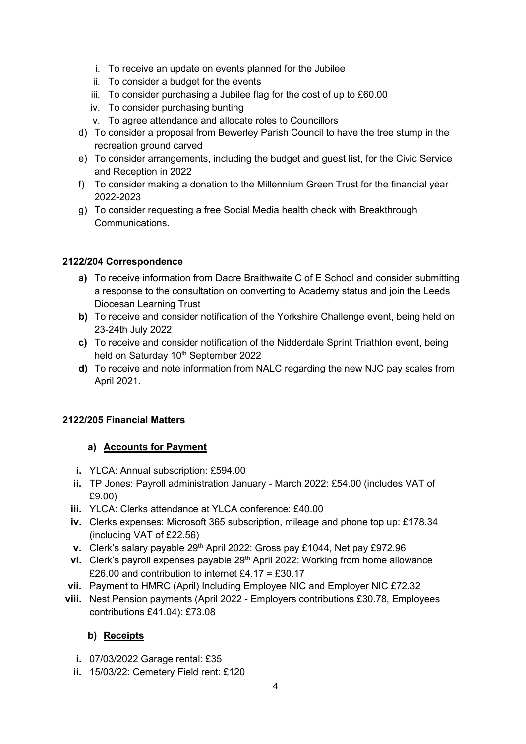- i. To receive an update on events planned for the Jubilee
- ii. To consider a budget for the events
- iii. To consider purchasing a Jubilee flag for the cost of up to £60.00
- iv. To consider purchasing bunting
- v. To agree attendance and allocate roles to Councillors
- d) To consider a proposal from Bewerley Parish Council to have the tree stump in the recreation ground carved
- e) To consider arrangements, including the budget and guest list, for the Civic Service and Reception in 2022
- f) To consider making a donation to the Millennium Green Trust for the financial year 2022-2023
- g) To consider requesting a free Social Media health check with Breakthrough Communications.

### **2122/204 Correspondence**

- **a)** To receive information from Dacre Braithwaite C of E School and consider submitting a response to the consultation on converting to Academy status and join the Leeds Diocesan Learning Trust
- **b)** To receive and consider notification of the Yorkshire Challenge event, being held on 23-24th July 2022
- **c)** To receive and consider notification of the Nidderdale Sprint Triathlon event, being held on Saturday 10<sup>th</sup> September 2022
- **d)** To receive and note information from NALC regarding the new NJC pay scales from April 2021.

### **2122/205 Financial Matters**

#### **a) Accounts for Payment**

- **i.** YLCA: Annual subscription: £594.00
- **ii.** TP Jones: Payroll administration January March 2022: £54.00 (includes VAT of £9.00)
- **iii.** YLCA: Clerks attendance at YLCA conference: £40.00
- **iv.** Clerks expenses: Microsoft 365 subscription, mileage and phone top up: £178.34 (including VAT of £22.56)
- **v.** Clerk's salary payable 29<sup>th</sup> April 2022: Gross pay £1044, Net pay £972.96
- **vi.** Clerk's payroll expenses payable 29<sup>th</sup> April 2022: Working from home allowance £26.00 and contribution to internet £4.17 = £30.17
- **vii.** Payment to HMRC (April) Including Employee NIC and Employer NIC £72.32
- **viii.** Nest Pension payments (April 2022 Employers contributions £30.78, Employees contributions £41.04): £73.08

### **b) Receipts**

- **i.** 07/03/2022 Garage rental: £35
- **ii.** 15/03/22: Cemetery Field rent: £120